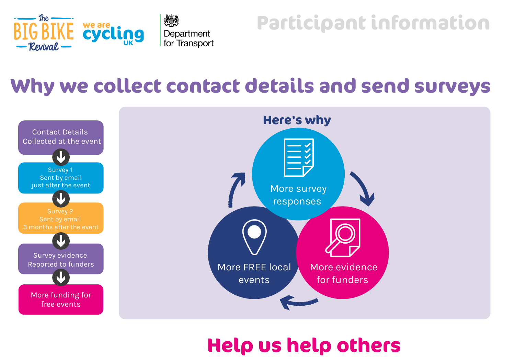

## **Participant information**

## **Why we collect contact details and send surveys**



## **Help us help others**